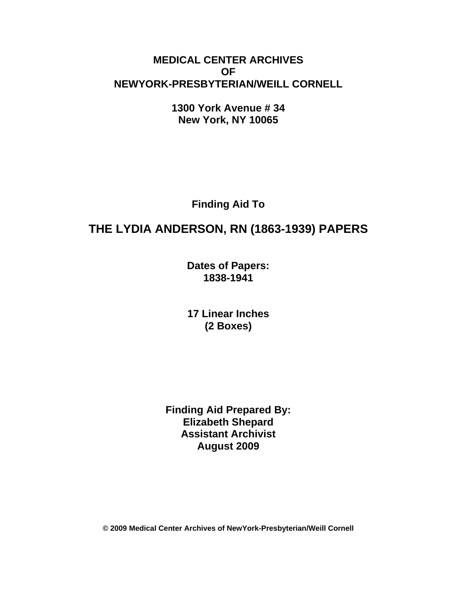#### **MEDICAL CENTER ARCHIVES OF NEWYORK-PRESBYTERIAN/WEILL CORNELL**

**1300 York Avenue # 34 New York, NY 10065** 

**Finding Aid To** 

# **THE LYDIA ANDERSON, RN (1863-1939) PAPERS**

**Dates of Papers: 1838-1941**

**17 Linear Inches (2 Boxes)** 

**Finding Aid Prepared By: Elizabeth Shepard Assistant Archivist August 2009** 

**© 2009 Medical Center Archives of NewYork-Presbyterian/Weill Cornell**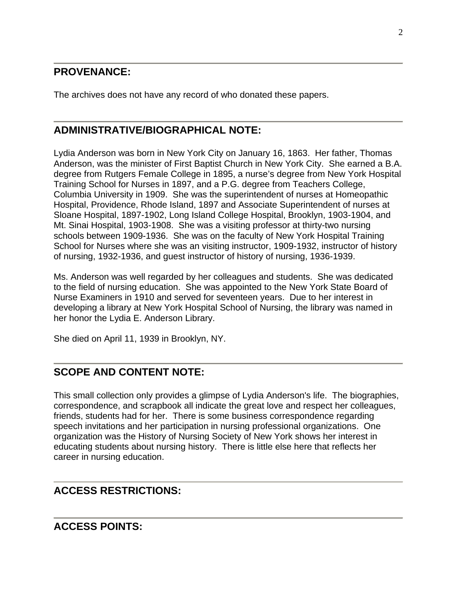#### **PROVENANCE:**

The archives does not have any record of who donated these papers.

#### **ADMINISTRATIVE/BIOGRAPHICAL NOTE:**

Lydia Anderson was born in New York City on January 16, 1863. Her father, Thomas Anderson, was the minister of First Baptist Church in New York City. She earned a B.A. degree from Rutgers Female College in 1895, a nurse's degree from New York Hospital Training School for Nurses in 1897, and a P.G. degree from Teachers College, Columbia University in 1909. She was the superintendent of nurses at Homeopathic Hospital, Providence, Rhode Island, 1897 and Associate Superintendent of nurses at Sloane Hospital, 1897-1902, Long Island College Hospital, Brooklyn, 1903-1904, and Mt. Sinai Hospital, 1903-1908. She was a visiting professor at thirty-two nursing schools between 1909-1936. She was on the faculty of New York Hospital Training School for Nurses where she was an visiting instructor, 1909-1932, instructor of history of nursing, 1932-1936, and guest instructor of history of nursing, 1936-1939.

Ms. Anderson was well regarded by her colleagues and students. She was dedicated to the field of nursing education. She was appointed to the New York State Board of Nurse Examiners in 1910 and served for seventeen years. Due to her interest in developing a library at New York Hospital School of Nursing, the library was named in her honor the Lydia E. Anderson Library.

She died on April 11, 1939 in Brooklyn, NY.

#### **SCOPE AND CONTENT NOTE:**

This small collection only provides a glimpse of Lydia Anderson's life. The biographies, correspondence, and scrapbook all indicate the great love and respect her colleagues, friends, students had for her. There is some business correspondence regarding speech invitations and her participation in nursing professional organizations. One organization was the History of Nursing Society of New York shows her interest in educating students about nursing history. There is little else here that reflects her career in nursing education.

#### **ACCESS RESTRICTIONS:**

#### **ACCESS POINTS:**